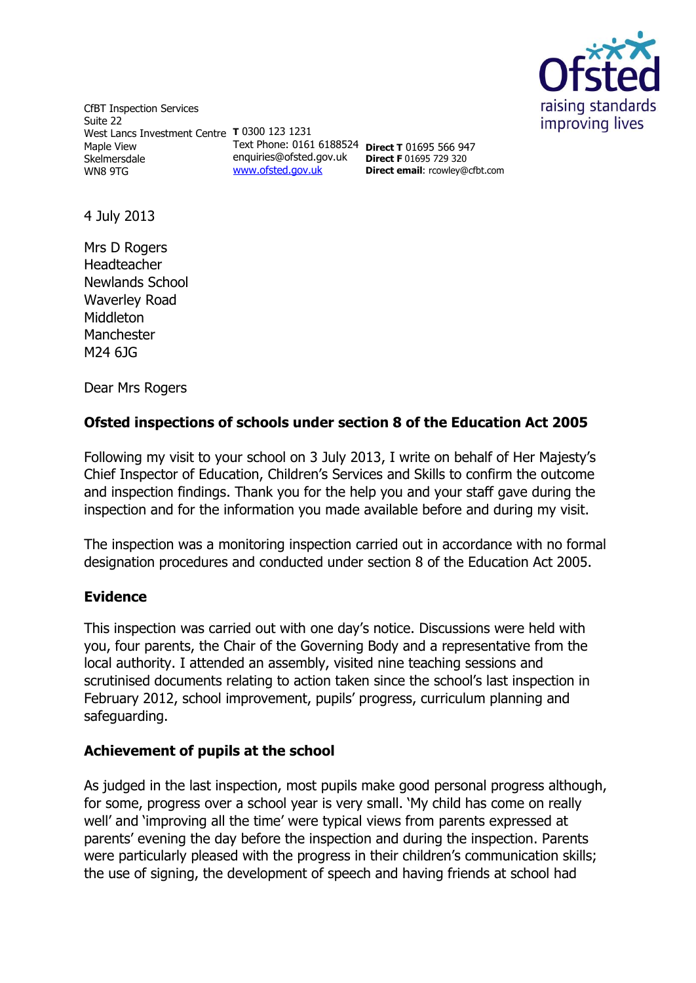

CfBT Inspection Services Suite 22 West Lancs Investment Centre **T** 0300 123 1231 Maple View Skelmersdale WN8 9TG enquiries@ofsted.gov.uk [www.ofsted.gov.uk](http://www.ofsted.gov.uk/)

Text Phone: 0161 6188524 **Direct T** 01695 566 947 **Direct F** 01695 729 320 **Direct email**: rcowley@cfbt.com

4 July 2013

Mrs D Rogers Headteacher Newlands School Waverley Road **Middleton** Manchester M24 6JG

Dear Mrs Rogers

# **Ofsted inspections of schools under section 8 of the Education Act 2005**

Following my visit to your school on 3 July 2013, I write on behalf of Her Majesty's Chief Inspector of Education, Children's Services and Skills to confirm the outcome and inspection findings. Thank you for the help you and your staff gave during the inspection and for the information you made available before and during my visit.

The inspection was a monitoring inspection carried out in accordance with no formal designation procedures and conducted under section 8 of the Education Act 2005.

# **Evidence**

This inspection was carried out with one day's notice. Discussions were held with you, four parents, the Chair of the Governing Body and a representative from the local authority. I attended an assembly, visited nine teaching sessions and scrutinised documents relating to action taken since the school's last inspection in February 2012, school improvement, pupils' progress, curriculum planning and safeguarding.

# **Achievement of pupils at the school**

As judged in the last inspection, most pupils make good personal progress although, for some, progress over a school year is very small. 'My child has come on really well' and 'improving all the time' were typical views from parents expressed at parents' evening the day before the inspection and during the inspection. Parents were particularly pleased with the progress in their children's communication skills; the use of signing, the development of speech and having friends at school had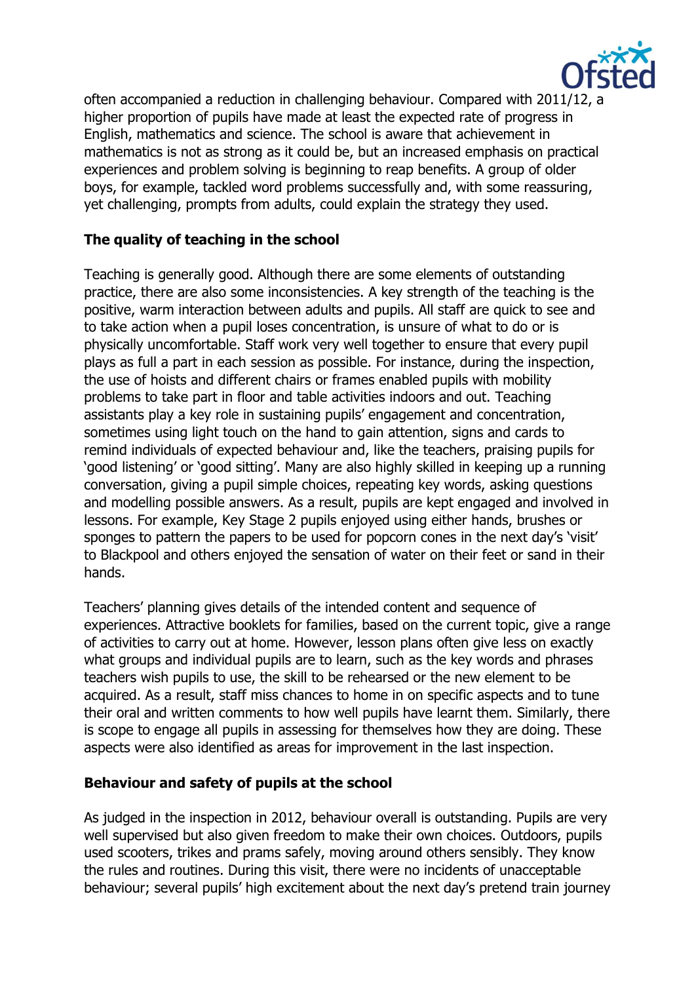

often accompanied a reduction in challenging behaviour. Compared with 2011/12, a higher proportion of pupils have made at least the expected rate of progress in English, mathematics and science. The school is aware that achievement in mathematics is not as strong as it could be, but an increased emphasis on practical experiences and problem solving is beginning to reap benefits. A group of older boys, for example, tackled word problems successfully and, with some reassuring, yet challenging, prompts from adults, could explain the strategy they used.

# **The quality of teaching in the school**

Teaching is generally good. Although there are some elements of outstanding practice, there are also some inconsistencies. A key strength of the teaching is the positive, warm interaction between adults and pupils. All staff are quick to see and to take action when a pupil loses concentration, is unsure of what to do or is physically uncomfortable. Staff work very well together to ensure that every pupil plays as full a part in each session as possible. For instance, during the inspection, the use of hoists and different chairs or frames enabled pupils with mobility problems to take part in floor and table activities indoors and out. Teaching assistants play a key role in sustaining pupils' engagement and concentration, sometimes using light touch on the hand to gain attention, signs and cards to remind individuals of expected behaviour and, like the teachers, praising pupils for 'good listening' or 'good sitting'. Many are also highly skilled in keeping up a running conversation, giving a pupil simple choices, repeating key words, asking questions and modelling possible answers. As a result, pupils are kept engaged and involved in lessons. For example, Key Stage 2 pupils enjoyed using either hands, brushes or sponges to pattern the papers to be used for popcorn cones in the next day's 'visit' to Blackpool and others enjoyed the sensation of water on their feet or sand in their hands.

Teachers' planning gives details of the intended content and sequence of experiences. Attractive booklets for families, based on the current topic, give a range of activities to carry out at home. However, lesson plans often give less on exactly what groups and individual pupils are to learn, such as the key words and phrases teachers wish pupils to use, the skill to be rehearsed or the new element to be acquired. As a result, staff miss chances to home in on specific aspects and to tune their oral and written comments to how well pupils have learnt them. Similarly, there is scope to engage all pupils in assessing for themselves how they are doing. These aspects were also identified as areas for improvement in the last inspection.

# **Behaviour and safety of pupils at the school**

As judged in the inspection in 2012, behaviour overall is outstanding. Pupils are very well supervised but also given freedom to make their own choices. Outdoors, pupils used scooters, trikes and prams safely, moving around others sensibly. They know the rules and routines. During this visit, there were no incidents of unacceptable behaviour; several pupils' high excitement about the next day's pretend train journey